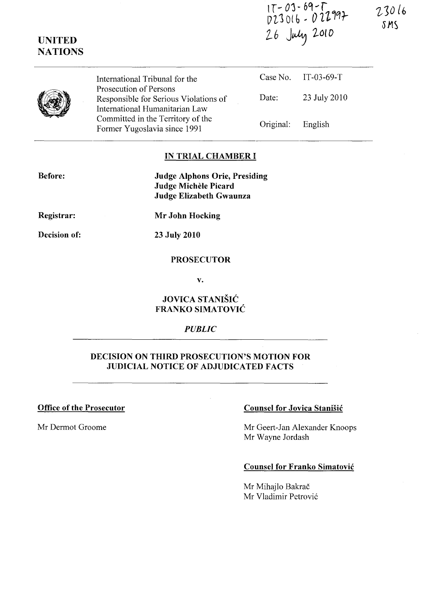$17 - 03 - 69 - 7$ <br>023016 - 022997<br>26 July 2010

International Tribunal for the Prosecution of Persons Responsible for Serious Violations of International Humanitarian Law Committed in the Territory of the Former Yugoslavia since 1991 Case No. IT-03-69-T Date: 23 July 2010 Original: English

#### IN TRIAL CHAMBER I

Before:

UNITED **NATIONS** 

> Judge Alphons Orie, Presiding Judge Michele Picard Judge Elizabeth Gwaunza

Registrar:

Mr John Hocking

Decision of:

23 July 2010

#### PROSECUTOR

v.

## JOVICA STANISIC FRANKO SIMATOVIC

#### *PUBLIC*

## DECISION ON THIRD PROSECUTION'S MOTION FOR JUDICIAL NOTICE OF ADJUDICATED FACTS

## Office of the Prosecutor Counsel for Jovica Stanisic

Mr Dermot Groome Mr Geert-Jan Alexander Knoops Mr Wayne Jordash

#### Counsel for Franko Simatovic

Mr Mihajlo Bakrač Mr Vladimir Petrović 23016 SMS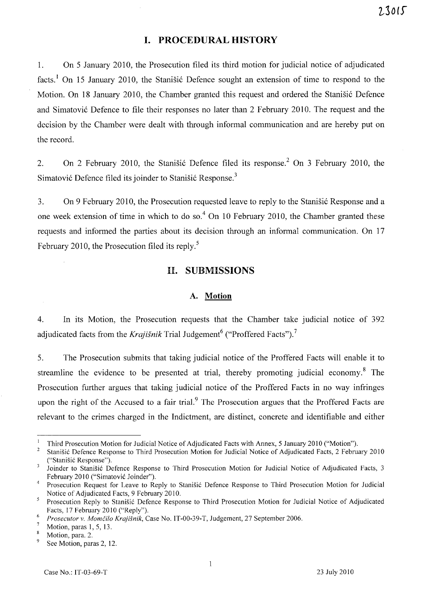## **I. PROCEDURAL HISTORY**

1. On 5 January 2010, the Prosecution filed its third motion for judicial notice of adjudicated facts.<sup>1</sup> On 15 January 2010, the Stanisic Defence sought an extension of time to respond to the Motion. On 18 January 2010, the Chamber granted this request and ordered the Stanistic Defence and Simatović Defence to file their responses no later than 2 February 2010. The request and the decision by the Chamber were dealt with through informal communication and are hereby put on the record.

2. On 2 February 2010, the Stanisic Defence filed its response.<sup>2</sup> On 3 February 2010, the Simatović Defence filed its joinder to Stanišić Response.<sup>3</sup>

3. On 9 February 2010, the Prosecution requested leave to reply to the Stanisic Response and a one week extension of time in which to do so.<sup>4</sup> On 10 February 2010, the Chamber granted these requests and informed the parties about its decision through an informal communication. On 17 February 2010, the Prosecution filed its reply.<sup>5</sup>

## **II. SUBMISSIONS**

#### **A. Motion**

4. In its Motion, the Prosecution requests that the Chamber take judicial notice of 392 adjudicated facts from the *Krajišnik* Trial Judgement<sup>6</sup> ("Proffered Facts").<sup>7</sup>

5. The Prosecution submits that taking judicial notice of the Proffered Facts will enable it to streamline the evidence to be presented at trial, thereby promoting judicial economy.<sup>8</sup> The Prosecution further argues that taking judicial notice of the Proffered Facts in no way infringes upon the right of the Accused to a fair trial.<sup>9</sup> The Prosecution argues that the Proffered Facts are relevant to the crimes charged in the Indictment, are distinct, concrete and identifiable and either

<sup>1</sup> Third Prosecution Motion for Judicial Notice of Adjudicated Facts with Annex, 5 January 2010 ("Motion").

<sup>2</sup> Stanisic Defence Response to Third Prosecution Motion for Judicial Notice of Adjudicated Facts, 2 February 2010 ("Stanisic Response").

<sup>&</sup>lt;sup>3</sup> Joinder to Stanišić Defence Response to Third Prosecution Motion for Judicial Notice of Adjudicated Facts, 3 February 2010 ("Simatovic Joinder").

<sup>&</sup>lt;sup>4</sup> Prosecution Request for Leave to Reply to Stanišić Defence Response to Third Prosecution Motion for Judicial Notice of Adjudicated Facts, 9 February 2010.

<sup>&</sup>lt;sup>5</sup> Prosecution Reply to Stanišić Defence Response to Third Prosecution Motion for Judicial Notice of Adjudicated Facts, 17 February 2010 ("Reply").

*<sup>6</sup> Prosecutor* v. *MomCilo Krajisnik,* Case No. IT-00-39-T, Judgement, 27 September 2006.

Motion, paras 1, 5, 13.

 $\overline{\mathbf{8}}$ Motion, para. 2.

<sup>&</sup>lt;sup>9</sup> See Motion, paras 2, 12.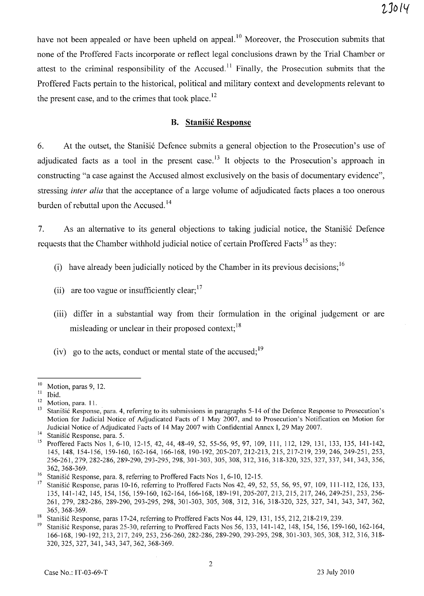have not been appealed or have been upheld on appeal.<sup>10</sup> Moreover, the Prosecution submits that none of the Proffered Facts incorporate or reflect legal conclusions drawn by the Trial Chamber or attest to the criminal responsibility of the Accused.<sup>11</sup> Finally, the Prosecution submits that the Proffered Facts pertain to the historical, political and military context and developments relevant to the present case, and to the crimes that took place.<sup>12</sup>

## B. **Stanisic Response**

6. At the outset, the Stanisic Defence submits a general objection to the Prosecution's use of adjudicated facts as a tool in the present case.<sup>13</sup> It objects to the Prosecution's approach in constructing "a case against the Accused almost exclusively on the basis of documentary evidence", stressing *inter alia* that the acceptance of a large volume of adjudicated facts places a too onerous burden of rebuttal upon the Accused. 14

7. As an alternative to its general objections to taking judicial notice, the Stanistic Defence requests that the Chamber withhold judicial notice of certain Proffered Facts<sup>15</sup> as they:

- (i) have already been judicially noticed by the Chamber in its previous decisions;  $1<sup>6</sup>$
- (ii) are too vague or insufficiently clear:  $17$
- (iii) differ in a substantial way from their formulation in the original judgement or are misleading or unclear in their proposed context; $^{18}$
- (iv) go to the acts, conduct or mental state of the accused;  $19$

 $\frac{10}{11}$  Motion, paras 9, 12.

Ibid.

 $\frac{12}{13}$  Motion, para. 11.

Stanišić Response, para. 4, referring to its submissions in paragraphs 5-14 of the Defence Response to Prosecution's Motion for Judicial Notice of Adjudicated Facts of 1 May 2007, and to Prosecution's Notification on Motion for Judicial Notice of Adjudicated Facts of 14 May 2007 with Confidential Annex 1,29 May 2007.

<sup>&</sup>lt;sup>14</sup> Stanišić Response, para. 5.<br><sup>15</sup> Profford Fosta Nos 1, 6, 1

Proffered Facts Nos 1, 6-10, 12-15, 42, 44, 48-49, 52, 55-56, 95, 97, 109, 111, 112, 129, 131, 133, 135, 141-142, 145,148,154-156,159-160,162-164,166-168, 190-192,205-207,212-213,215,217-219,239,246, 249-251, 253, 256-261,279,282-286,289-290,293-295,298,301-303,305,308,312,316,318-320,325,327,337,341,343,356, 362,368-369.

<sup>&</sup>lt;sup>16</sup> Stanišić Response, para. 8, referring to Proffered Facts Nos 1, 6-10, 12-15.<br><sup>17</sup> Stanišić Responses, games 10, 16, as family to Proffered Facts Nes 43, 40, 5<sup>2</sup>

Stanišić Response, paras 10-16, referring to Proffered Facts Nos 42, 49, 52, 55, 56, 95, 97, 109, 111-112, 126, 133, 135,141-142,145,154,156,159-160,162-164, 166-168, 189-191,205-207,213,215,217,246,249-251,253,256- 261, 279, 282-286, 289-290, 293-295, 298, 301-303, 305, 308, 312, 316, 318-320, 325, 327, 341, 343, 347, 362, 365,368-369.

<sup>&</sup>lt;sup>18</sup> Stanišić Response, paras 17-24, referring to Proffered Facts Nos 44, 129, 131, 155, 212, 218-219, 239.<br><sup>19</sup> Stanišić Response, paras 25.20, referring to Proffered Facts Nos 56, 122, 141, 142, 148, 154, 156, 150.

<sup>19</sup>Stanisic Response, paras 25-30, referring to Proffered Facts Nos 56,133,141-142, 148, 154, 156, 159-160, 162-164, 166-168,190-192,213,217,249,253,256-260, 282-286, 289-290, 293-295, 298, 301-303, 305, 308, 312, 316, 318- 320,325,327,341,343,347,362,368-369.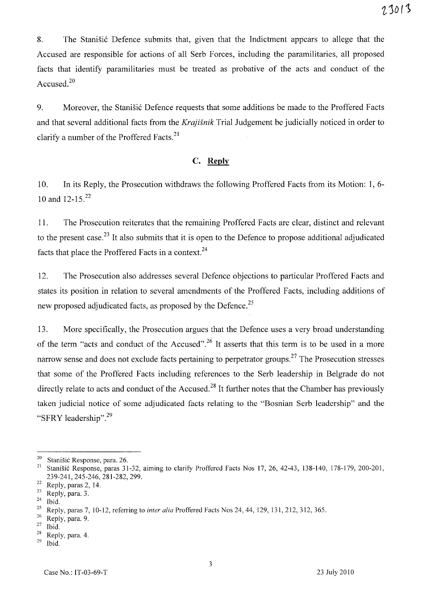8. The Stanisic Defence submits that, given that the Indictment appears to allege that the Accused are responsible for actions of all Serb Forces, including the paramilitaries, all proposed facts that identify paramilitaries must be treated as probative of the acts and conduct of the Accused.2o

9. Moreover, the Stanišić Defence requests that some additions be made to the Proffered Facts and that several additional facts from the *Krajisnik* Trial Judgement be judicially noticed in order to clarify a number of the Proffered Facts.<sup>21</sup>

## **c. Reply**

10. In its Reply, the Prosecution withdraws the following Proffered Facts from its Motion: 1, 6- 10 and 12-15.<sup>22</sup>

11. The Prosecution reiterates that the remaining Proffered Facts are clear, distinct and relevant to the present case.<sup>23</sup> It also submits that it is open to the Defence to propose additional adjudicated facts that place the Proffered Facts in a context.<sup>24</sup>

12. The Prosecution also addresses several Defence objections to particular Proffered Facts and states its position in relation to several amendments of the Proffered Facts, including additions of new proposed adjudicated facts, as proposed by the Defence.<sup>25</sup>

13. More specifically, the Prosecution argues that the Defence uses a very broad understanding of the term "acts and conduct of the Accused".<sup>26</sup> It asserts that this term is to be used in a more narrow sense and does not exclude facts pertaining to perpetrator groups.<sup>27</sup> The Prosecution stresses that some of the Proffered Facts including references to the Serb leadership in Belgrade do not directly relate to acts and conduct of the Accused.<sup>28</sup> It further notes that the Chamber has previously taken judicial notice of some adjudicated facts relating to the "Bosnian Serb leadership" and the "SFRY leadership".<sup>29</sup>

<sup>&</sup>lt;sup>20</sup> Stanišić Response, para. 26.<br><sup>21</sup> Stanišić Response paras. 21.

<sup>21</sup> Stanisic Response, paras 31-32, aiming to clarify Proffered Facts Nos 17, 26, 42-43, 138-140, 178-179, 200-201, 239-241,245-246,281-282,299.

 $\frac{22}{23}$  Reply, paras 2, 14.

 $\frac{23}{24}$  Reply, para. 3.

 $\frac{24}{25}$  Ibid.

<sup>&</sup>lt;sup>25</sup> Reply, paras 7, 10-12, referring to *inter alia* Proffered Facts Nos 24, 44, 129, 131, 212, 312, 365.<br><sup>26</sup> Poply, para 0.

 $\frac{26}{27}$  Reply, para. 9.

 $\frac{27}{28}$  Ibid.

 $\frac{28}{29}$  Reply, para. 4.

Ibid.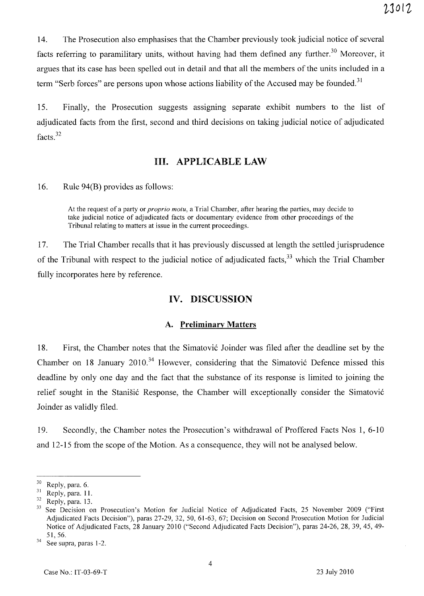14. The Prosecution also emphasises that the Chamber previously took judicial notice of several facts referring to paramilitary units, without having had them defined any further.<sup>30</sup> Moreover, it argues that its case has been spelled out in detail and that all the members of the units included in a term "Serb forces" are persons upon whose actions liability of the Accused may be founded.<sup>31</sup>

15. Finally, the Prosecution suggests assigning separate exhibit numbers to the list of adjudicated facts from the first, second and third decisions on taking judicial notice of adjudicated facts. <sup>32</sup>

## Ill. APPLICABLE LAW

16. Rule 94(B) provides as follows:

At the request of a party or *proprio motu,* a Trial Chamber, after hearing the parties, may decide to take judicial notice of adjudicated facts or documentary evidence from other proceedings of the Tribunal relating to matters at issue in the current proceedings.

17. The Trial Chamber recalls that it has previously discussed at length the settled jurisprudence of the Tribunal with respect to the judicial notice of adjudicated facts,<sup>33</sup> which the Trial Chamber fully incorporates here by reference.

## IV. DISCUSSION

#### A. Preliminary Matters

18. First, the Chamber notes that the Simatovi6 Joinder was filed after the deadline set by the Chamber on 18 January 2010.<sup>34</sup> However, considering that the Simatović Defence missed this deadline by only one day and the fact that the substance of its response is limited to joining the relief sought in the Stanišić Response, the Chamber will exceptionally consider the Simatović Joinder as validly filed.

19. Secondly, the Chamber notes the Prosecution's withdrawal of Proffered Facts Nos 1, 6-10 and 12-15 from the scope of the Motion. As a consequence, they will not be analysed below.

 $\frac{30}{31}$  Reply, para. 6.

 $\frac{31}{32}$  Reply, para. 11.

 $rac{32}{33}$  Reply, para. 13.

See Decision on Prosecution's Motion for Judicial Notice of Adjudicated Facts, 25 November 2009 ("First Adjudicated Facts Decision"), paras 27-29, 32, 50,61-63,67; Decision on Second Prosecution Motion for Judicial Notice of Adjudicated Facts, 28 January 2010 ("Second Adjudicated Facts Decision"), paras 24-26, 28, 39, 45, 49- 51,56.

See supra, paras 1-2.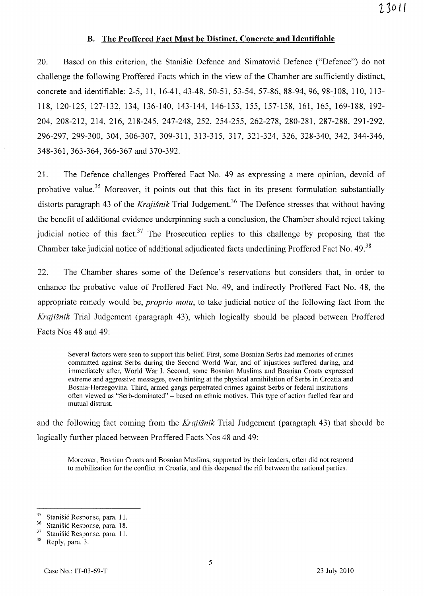## **B. The Proffered Fact Must be Distinct, Concrete and Identifiable**

20. Based on this criterion, the Stanišić Defence and Simatović Defence ("Defence") do not challenge the following Proffered Facts which in the view of the Chamber are sufficiently distinct, concrete and identifiable: 2-5, 11, 16-41,43-48, 50-51, 53-54, 57-86, 88-94, 96, 98-108, 110, 113- 118, 120-125, 127-132, 134, 136-140, 143-144, 146-153, 155, 157-158, 161, 165, 169-188, 192- 204, 208-212, 214, 216, 218-245, 247-248, 252, 254-255, 262-278, 280-281, 287-288, 291-292, 296-297, 299-300, 304, 306-307, 309-311, 313-315, 317, 321-324, 326, 328-340, 342, 344-346, 348-361,363-364,366-367 and 370-392.

21. The Defence challenges Proffered Fact No. 49 as expressing a mere opinion, devoid of probative value.<sup>35</sup> Moreover, it points out that this fact in its present formulation substantially distorts paragraph 43 of the *Krajišnik* Trial Judgement.<sup>36</sup> The Defence stresses that without having the benefit of additional evidence underpinning such a conclusion, the Chamber'should reject taking judicial notice of this fact.<sup>37</sup> The Prosecution replies to this challenge by proposing that the Chamber take judicial notice of additional adjudicated facts underlining Proffered Fact No. 49.<sup>38</sup>

22. The Chamber shares some of the Defence's reservations but considers that, in order to enhance the probative value of Proffered Fact No. 49, and indirectly Proffered Fact No. 48, the appropriate remedy would be, *proprio motu,* to take judicial notice of the following fact from the *Krajisnik* Trial Judgement (paragraph 43), which logically should be placed between Proffered Facts Nos 48 and 49:

Several factors were seen to support this belief. First, some Bosnian Serbs had memories of crimes committed against Serbs during the Second World War, and of injustices suffered during, and immediately after, World War 1. Second, some Bosnian Muslims and Bosnian Croats expressed extreme and aggressive messages, even hinting at the physical annihilation of Serbs in Croatia and Bosnia-Herzegovina. Third, armed gangs perpetrated crimes against Serbs or federal institutions often viewed as "Serb-dominated" - based on ethnic motives. This type of action fuelled fear and mutual distrust.

and the following fact coming from the *Krajisnik* Trial Judgement (paragraph 43) that should be logically further placed between Proffered Facts Nos 48 and 49:

Moreover, Bosnian Croats and Bosnian Muslims, supported by their leaders, often did not respond to mobilization for the conflict in Croatia, and this deepened the rift between the national parties.

<sup>&</sup>lt;sup>35</sup> Stanišić Response, para. 11.<br><sup>36</sup> Stanišić Response, para. 18.

 $\frac{36}{37}$  Stanišić Response, para. 18.

 $\frac{37}{38}$  Stanišić Response, para. 11.

Reply, para. 3.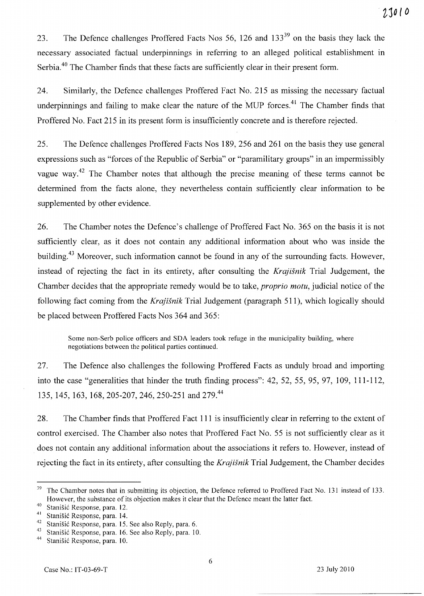23. The Defence challenges Proffered Facts Nos 56, 126 and  $133^{39}$  on the basis they lack the necessary associated factual underpinnings in referring to an alleged political establishment in Serbia.<sup>40</sup> The Chamber finds that these facts are sufficiently clear in their present form.

24. Similarly, the Defence challenges Proffered Fact No. 215 as missing the necessary factual underpinnings and failing to make clear the nature of the MUP forces.<sup>41</sup> The Chamber finds that Proffered No. Fact 215 in its present form is insufficiently concrete and is therefore rejected.

25. The Defence challenges Proffered Facts Nos 189,256 and 261 on the basis they use general expressions such as "forces of the Republic of Serbia" or "paramilitary groups" in an impermissibly vague way.<sup>42</sup> The Chamber notes that although the precise meaning of these terms cannot be determined from the facts alone, they nevertheless contain sufficiently clear information to be supplemented by other evidence.

26. The Chamber notes the Defence's challenge of Proffered Fact No. 365 on the basis it is not sufficiently clear, as it does not contain any additional information about who was inside the building.43 Moreover, such information cannot be found in any of the surrounding facts. However, instead of rejecting the fact in its entirety, after consulting the *Krajisnik* Trial Judgement, the Chamber decides that the appropriate remedy would be to take, *proprio motu,* judicial notice of the following fact coming from the *Krajisnik* Trial Judgement (paragraph 511), which logically should be placed between Proffered Facts Nos 364 and 365:

Some non-Serb police officers and SDA leaders took refuge in the municipality building, where negotiations between the political parties continued.

27. The Defence also challenges the following Proffered Facts as unduly broad and importing into the case "generalities that hinder the truth finding process": 42, 52, 55, 95, 97, 109, 111-112, 135, 145, 163, 168, 205-207, 246, 250-251 and 279.<sup>44</sup>

28. The Chamber finds that Proffered Fact **111** is insufficiently clear in referring to the extent of control exercised. The Chamber also notes that Proffered Fact No. 55 is not sufficiently clear as it does not contain any additional information about the associations it refers to. However, instead of rejecting the fact in its entirety, after consulting the *Krajisnik* Trial Judgement, the Chamber decides

 $39$  The Chamber notes that in submitting its objection, the Defence referred to Proffered Fact No. 131 instead of 133. However, the substance of its objection makes it clear that the Defence meant the latter fact.

<sup>&</sup>lt;sup>40</sup> Stanišić Response, para. 12.

<sup>&</sup>lt;sup>41</sup> Stanišić Response, para. 14.<br><sup>42</sup> Stanišić Response, para. 15.

<sup>&</sup>lt;sup>42</sup> Stanišić Response, para. 15. See also Reply, para. 6.<br><sup>43</sup> Stanišić Response, para. 16. See also Reply, para. 10

<sup>&</sup>lt;sup>43</sup> Stanišić Response, para. 16. See also Reply, para. 10.<br><sup>44</sup> Stanišić Response, para. 10.

Stanišić Response, para. 10.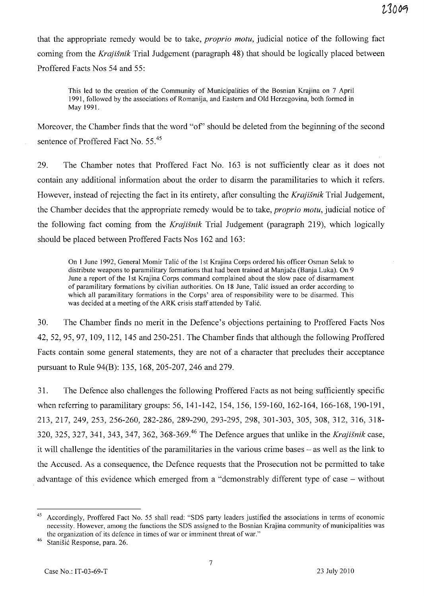that the appropriate remedy would be to take, *proprio motu,* judicial notice of the following fact coming from the *Krajisnik* Trial Judgement (paragraph 48) that should be logically placed between Proffered Facts Nos 54 and 55:

This led to the creation of the Community of Municipalities of the Bosnian Krajina on 7 April 1991, followed by the associations of Romanija, and Eastern and Old Herzegovina, both formed in May 1991.

Moreover, the Chamber finds that the word "of' should be deleted from the beginning of the second sentence of Proffered Fact No. 55.<sup>45</sup>

29. The Chamber notes that Proffered Fact No. 163 is not sufficiently clear as it does not contain any additional information about the order to disarm the paramilitaries to which it refers. However, instead of rejecting the fact in its entirety, after consulting the *Krajisnik* Trial Judgement, the Chamber decides that the appropriate remedy would be to take, *proprio motu,* judicial notice of the following fact coming from the *Krajisnik* Trial Judgement (paragraph 219), which logically should be placed between Proffered Facts Nos 162 and 163:

On 1 June 1992, General Momir Talic of the 1st Krajina Corps ordered his officer Osman Selak to distribute weapons to paramilitary formations that had been trained at Manjaca (Banja Luka). On 9 June a report of the 1st Krajina Corps command complained about the slow pace of disarmament of paramilitary formations by civilian authorities. On 18 June, Talic issued an order according to which all paramilitary formations in the Corps' area of responsibility were to be disarmed. This was decided at a meeting of the ARK crisis staff attended by Talić.

30. The Chamber finds no merit in the Defence's objections pertaining to Proffered Facts Nos 42,52,95,97, 109, 112, 145 and 250-251. The Chamber finds that although the following Proffered Facts contain some general statements, they are not of a character that precludes their acceptance pursuant to Rule 94(B): 135, 168,205-207,246 and 279.

31. The Defence also challenges the following Proffered Facts as not being sufficiently specific when referring to paramilitary groups: 56, 141-142, 154, 156, 159-160, 162-164, 166-168, 190-191, 213,217,249,253,256-260,282-286,289-290,293-295, 298, 301-303, 305, 308, 312, 316, 318- 320, 325, 327, 341, 343, 347, 362, 368-369.<sup>46</sup> The Defence argues that unlike in the *Krajišnik* case, it will challenge the identities of the paramilitaries in the various crime bases – as well as the link to the Accused. As a consequence, the Defence requests that the Prosecution not be permitted to take advantage of this evidence which emerged from a "demonstrably different type of case – without

<sup>45</sup> Accordingly, Proffered Fact No. 55 shall read: "SOS party leaders justified the associations in terms of economic necessity. However, among the functions the SOS assigned to the Bosnian Krajina community of municipalities was the organization of its defence in times of war or imminent threat of war."

<sup>&</sup>lt;sup>46</sup> Stanišić Response, para. 26.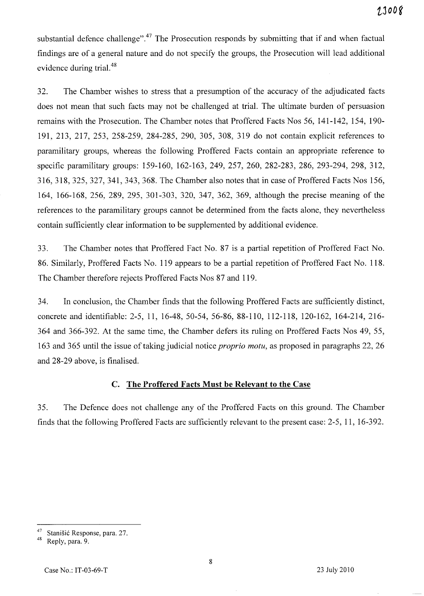substantial defence challenge".<sup>47</sup> The Prosecution responds by submitting that if and when factual findings are of a general nature and do not specify the groups, the Prosecution will lead additional evidence during trial. 48

32. The Chamber wishes to stress that a presumption of the accuracy of the adjudicated facts does not mean that such facts may not be challenged at trial. The ultimate burden of persuasion remains with the Prosecution. The Chamber notes that Proffered Facts Nos 56, 141-142, 154, 190- 191,213,217,253,258-259,284-285,290,305,308,319 do not contain explicit references to paramilitary groups, whereas the following Proffered Facts contain an appropriate reference to specific paramilitary groups: 159-160, 162-163, 249, 257, 260, 282-283, 286, 293-294, 298, 312, 316,318,325,327,341,343,368. The Chamber also notes that in case of Proffered Facts Nos 156, 164, 166-168, 256, 289, 295, 301-303, 320, 347, 362, 369, although the precise meaning of the references to the paramilitary groups cannot be determined from the facts alone, they nevertheless contain sufficiently clear information to be supplemented by additional evidence.

33. The Chamber notes that Proffered Fact No. 87 is a partial repetition of Proffered Fact No. 86. Similarly, Proffered Facts No. 119 appears to be a partial repetition of Proffered Fact No. 118. The Chamber therefore rejects Proffered Facts Nos 87 and 119.

34. In conclusion, the Chamber finds that the following Proffered Facts are sufficiently distinct, concrete and identifiable: 2-5, 11, 16-48, 50-54, 56-86, 88-110, 112-118, 120-162, 164-214, 216- 364 and 366-392. At the same time, the Chamber defers its ruling on Proffered Facts Nos 49, 55, 163 and 365 until the issue of taking judicial notice *proprio motu,* as proposed in paragraphs 22, 26 and 28-29 above, is finalised.

## C. **The Proffered** Facts **Must be Relevant to the** Case

35. The Defence does not challenge any of the Proffered Facts on this ground. The Chamber finds that the following Proffered Facts are sufficiently relevant to the present case: 2-5, 11, 16-392.

<sup>&</sup>lt;sup>47</sup> Stanišić Response, para. 27.

Reply, para. 9.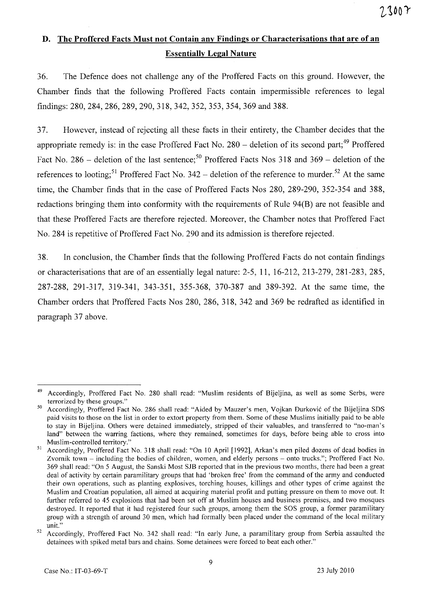# **D. The Proffered Facts Must not Contain any Findings or Characterisations that are of an Essentially Legal Nature**

36. The Defence does not challenge any of the Proffered Facts on this ground. However, the Chamber finds that the following Proffered Facts contain impermissible references to legal findings: 280, 284, 286, 289, 290, 318, 342, 352, 353, 354, 369 and 388.

37. However, instead of rejecting all these facts in their entirety, the Chamber decides that the appropriate remedy is: in the case Proffered Fact No.  $280$  – deletion of its second part;<sup>49</sup> Proffered Fact No. 286 – deletion of the last sentence;<sup>50</sup> Proffered Facts Nos 318 and 369 – deletion of the references to looting;<sup>51</sup> Proffered Fact No. 342 – deletion of the reference to murder.<sup>52</sup> At the same time, the Chamber finds that in the case of Proffered Facts Nos 280, 289-290, 352-354 and 388, redactions bringing them into conformity with the requirements of Rule 94(B) are not feasible and that these Proffered Facts are therefore rejected. Moreover, the Chamber notes that Proffered Fact No. 284 is repetitive of Proffered Fact No. 290 and its admission is therefore rejected.

38. In conclusion, the Chamber finds that the following Proffered Facts do not contain findings or characterisations that are of an essentially legal nature: 2-5, 11, 16-212,213-279,281-283,285, 287-288, 291-317, 319-341, 343-351, 355-368, 370-387 and 389-392. At the same time, the Chamber orders that Proffered Facts Nos 280, 286, 318, 342 and 369 be redrafted as identified in paragraph 37 above.

<sup>49</sup> Accordingly, Proffered Fact No. 280 shall read: "Muslim residents of Bijeljina, as well as some Serbs, were terrorized by these groups."

<sup>50</sup> Accordingly, Proffered Fact No. 286 shall read: "Aided by Mauzer's men, Vojkan Durkovic of the Bijeljina SDS paid visits to those on the list in order to extort property from them. Some of these Muslims initially paid to be able to stay in Bijeljina. Others were detained immediately, stripped of their valuables, and transferred to "no-man's land" between the warring factions, where they remained, sometimes for days, before being able to cross into Muslim-controlled territory."

<sup>&</sup>lt;sup>51</sup> Accordingly, Proffered Fact No. 318 shall read: "On 10 April [1992], Arkan's men piled dozens of dead bodies in Zvornik town - including the bodies of children, women, and elderly persons - onto trucks."; Proffered Fact No. 369 shall read: "On 5 August, the Sanski Most SJB reported that in the previous two months, there had been a great deal of activity by certain paramilitary groups that had 'broken free' from the command of the army and conducted their own operations, such as planting explosives, torching houses, killings and other types of crime against the Muslim and Croatian population, all aimed at acquiring material profit and putting pressure on them to move out. It further referred to 45 explosions that had been set off at Muslim houses and business premises, and two mosques destroyed. It reported that it had registered four such groups, among them the SOS group, a former paramilitary group with a strength of around 30 men, which had formally been placed under the command of the local military unit."

<sup>&</sup>lt;sup>52</sup> Accordingly, Proffered Fact No. 342 shall read: "In early June, a paramilitary group from Serbia assaulted the detainees with spiked metal bars and chains. Some detainees were forced to beat each other."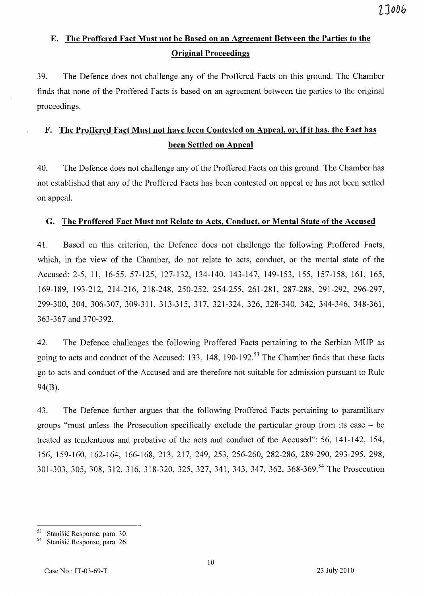# **E. The Proffered Fact Must not be Based on an Agreement Between the Parties to the Original Proceedings**

39. The Defence does not challenge any of the Proffered Facts on this ground. The Chamber finds that none of the Proffered Facts is based on an agreement between the parties to the original proceedings.

# F. The Proffered Fact Must not have been Contested on Appeal, or, if it has, the Fact has **been Settled on Appeal**

40. The Defence does not challenge any of the Proffered Facts on this ground. The Chamber has not established that any of the Proffered Facts has been contested on appeal or has not been settled on appeal.

## **G. The Proffered Fact Must not Relate to Acts, Conduct, or Mental State of the Accused**

41. Based on this criterion, the Defence does not challenge the following Proffered Facts, which, in the view of the Chamber, do not relate to acts, conduct, or the mental state of the Accused: 2-5, 11, 16-55, 57-125, 127-132, 134-140, 143-147, 149-153, 155, 157-158, 161, 165, 169-189, 193-212, 214-216, 218-248, 250-252, 254-255, 261-281, 287-288, 291-292, 296-297, 299-300, 304, 306-307, 309-311, 313-315, 317, 321-324, 326, 328-340, 342, 344-346, 348-361, 363-367 and 370-392.

42. The Defence challenges the following Proffered Facts pertaining to the Serbian MUP as going to acts and conduct of the Accused: 133, 148, 190-192.<sup>53</sup> The Chamber finds that these facts go to acts and conduct of the Accused and are therefore not suitable for admission pursuant to Rule 94(B).

43. The Defence further argues that the following Proffered Facts pertaining to paramilitary groups "must unless the Prosecution specifically exclude the particular group from its case - be treated as tendentious and probative of the acts and conduct of the Accused": 56, 141-142, 154, 156, 159-160, 162-164, 166-168,213,217,249,253,256-260,282-286, 289-290, 293-295, 298, 301-303, 305, 308, 312, 316, 318-320, 325, 327, 341, 343, 347, 362, 368-369.<sup>54</sup> The Prosecution

 $^{53}$  Stanišić Response, para. 30.<br> $^{54}$  Stanišić Response, para. 26.

Stanišić Response, para. 26.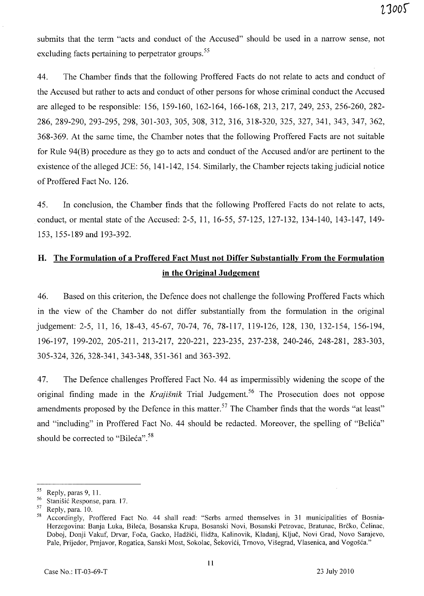submits that the term "acts and conduct of the Accused" should be used in a narrow sense, not excluding facts pertaining to perpetrator groups.<sup>55</sup>

44. The Chamber finds that the following Proffered Facts do not relate to acts and conduct of the Accused but rather to acts and conduct of other persons for whose criminal conduct the Accused are alleged to be responsible: 156,159-160,162-164,166-168,213,217,249,253, 256-260, 282- 286,289-290,293-295,298,301-303,305,308,312, 316, 318-320, 325, 327, 341, 343, 347, 362, 368-369. At the same time, the Chamber notes that the following Proffered Facts are not suitable for Rule 94(B) procedure as they go to acts and conduct of the Accused and/or are pertinent to the existence of the alleged JCE: 56,141-142, 154. Similarly, the Chamber rejects taking judicial notice of Proffered Fact No. 126.

45. In conclusion, the Chamber finds that the following Proffered Facts do not relate to acts, conduct, or mental state of the Accused: 2-5,11,16-55,57-125,127-132,134-140,143-147,149- 153, 155-189 and 193-392.

# H. The Formulation of a Proffered Fact Must not Differ Substantially From the Formulation **in** the Original Judgement

46. Based on this criterion, the Defence does not challenge the following Proffered Facts which in the view of the Chamber do not differ substantially from the formulation in the original judgement: 2-5, 11, 16, 18-43, 45-67, 70-74, 76, 78-117, 119-126, 128, 130, 132-154, 156-194, 196-197, 199-202, 205-211, 213-217, 220-221, 223-235, 237-238, 240-246, 248-281, 283-303, 305-324,326,328-341,343-348,351-361 and 363-392.

47. The Defence challenges Proffered Fact No. 44 as impermissibly widening the scope of the original finding made in the *Krajišnik* Trial Judgement.<sup>56</sup> The Prosecution does not oppose amendments proposed by the Defence in this matter.<sup>57</sup> The Chamber finds that the words "at least" and "including" in Proffered Fact No. 44 should be redacted. Moreover, the spelling of "Belica" should be corrected to "Bileća".<sup>58</sup>

 $^{55}$  Reply, paras 9, 11.

 $^{56}$  Stanišić Response, para. 17.

 $^{57}$  Reply, para. 10.

<sup>58</sup> Accordingly, Proffered Fact No. 44 shall read: "Serbs anned themselves in 31 municipalities of Bosnia-Herzegovina: Banja Luka, Bileca, Bosanska Krupa, Bosanski Novi, Bosanski Petrovac, Bratunac, Brcko, Celinac, Doboj, Donji Vakuf, Drvar, Foča, Gacko, Hadžići, Ilidža, Kalinovik, Kladanj, Ključ, Novi Grad, Novo Sarajevo, Pale, Prijedor, Prnjavor, Rogatica, Sanski Most, Sokolac, Šekovići, Trnovo, Višegrad, Vlasenica, and Vogošća."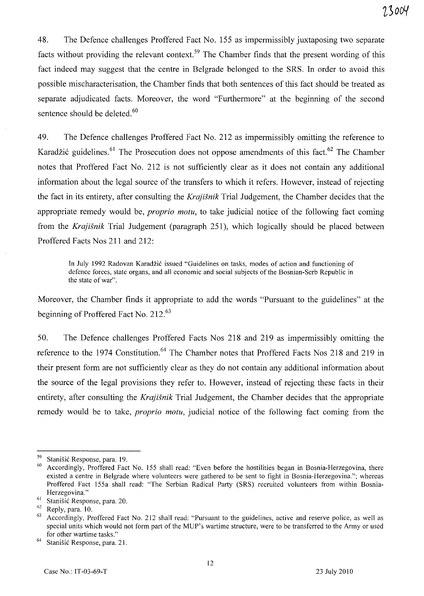48. The Defence challenges Proffered Fact No. 155 as impermissibly juxtaposing two separate facts without providing the relevant context.<sup>59</sup> The Chamber finds that the present wording of this fact indeed may suggest that the centre in Belgrade belonged to the SRS. In order to avoid this possible mischaracterisation, the Chamber finds that both sentences of this fact should be treated as separate adjudicated facts. Moreover, the word "Furthermore" at the beginning of the second sentence should be deleted.<sup>60</sup>

49. The Defence challenges Proffered Fact No. 212 as impermissibly omitting the reference to Karadžić guidelines.<sup>61</sup> The Prosecution does not oppose amendments of this fact.<sup>62</sup> The Chamber notes that Proffered Fact No. 212 is not sufficiently clear as it does not contain any additional information about the legal source of the transfers to which it refers. However, instead of rejecting the fact in its entirety, after consulting the *Krajisnik* Trial Judgement, the Chamber decides that the appropriate remedy would be, *proprio motu,* to take judicial notice of the following fact coming from the *Krajisnik* Trial Judgement (paragraph 251), which logically should be placed between Proffered Facts Nos 211 and 212:

In July 1992 Radovan Karadžić issued "Guidelines on tasks, modes of action and functioning of defence forces, state organs, and all economic and social subjects of the Bosnian-Serb Republic in the state of war".

Moreover, the Chamber finds it appropriate to add the words "Pursuant to the guidelines" at the beginning of Proffered Fact No. 212.<sup>63</sup>

50. The Defence challenges Proffered Facts Nos 218 and 219 as impermissibly omitting the reference to the 1974 Constitution.<sup>64</sup> The Chamber notes that Proffered Facts Nos 218 and 219 in their present form are not sufficiently clear as they do not contain any additional information about the source of the legal provisions they refer to. However, instead of rejecting these facts in their entirety, after consulting the *Krajisnik* Trial Judgement, the Chamber decides that the appropriate remedy would be to take, *proprio motu,* judicial notice of the following fact coming from the

<sup>&</sup>lt;sup>59</sup> Stanišić Response, para. 19.

<sup>60</sup> Accordingly, Proffered Fact No. 155 shall read: "Even before the hostilities began in Bosnia-Herzegovina, there existed a centre in Belgrade where volunteers were gathered to be sent to fight in Bosnia-Herzegovina."; whereas Proffered Fact 155a shall read: "The Serbian Radical Party (SRS) recruited volunteers from within Bosnia-Herzegovina."

 $^{61}$  Stanišić Response, para. 20.

Reply, para. 10.

<sup>&</sup>lt;sup>63</sup> Accordingly, Proffered Fact No. 212 shall read: "Pursuant to the guidelines, active and reserve police, as well as special units which would not form part of the MUP's wartime structure, were to be transferred to the Army or used for other wartime tasks."

<sup>&</sup>lt;sup>64</sup> Stanišić Response, para. 21.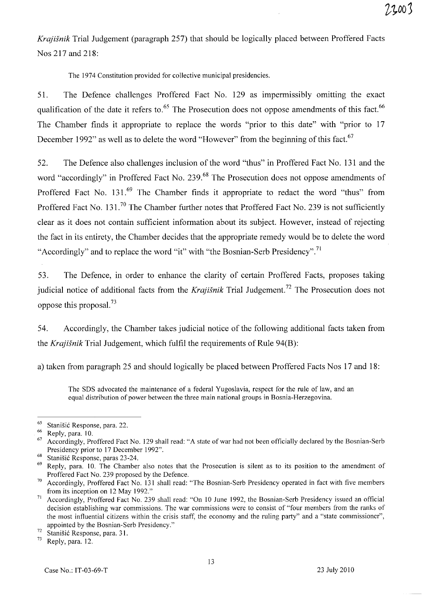*Krajisnik* Trial Judgement (paragraph 257) that should be logically placed between Proffered Facts Nos 217 and 218:

The 1974 Constitution provided for collective municipal presidencies.

51. The Defence challenges Proffered Fact No. 129 as impermissibly omitting the exact qualification of the date it refers to.<sup>65</sup> The Prosecution does not oppose amendments of this fact.<sup>66</sup> The Chamber finds it appropriate to replace the words "prior to this date" with "prior to 17 December 1992" as well as to delete the word "However" from the beginning of this fact.<sup>67</sup>

52. The Defence also challenges inclusion of the word "thus" in Proffered Fact No. 131 and the word "accordingly" in Proffered Fact No. 239.<sup>68</sup> The Prosecution does not oppose amendments of Proffered Fact No. 131.<sup>69</sup> The Chamber finds it appropriate to redact the word "thus" from Proffered Fact No. 131.<sup>70</sup> The Chamber further notes that Proffered Fact No. 239 is not sufficiently clear as it does not contain sufficient information about its subject. However, instead of rejecting the fact in its entirety, the Chamber decides that the appropriate remedy would be to delete the word "Accordingly" and to replace the word "it" with "the Bosnian-Serb Presidency".<sup>71</sup>

53. The Defence, in order to enhance the clarity of certain Proffered Facts, proposes taking judicial notice of additional facts from the *Krajisnik* Trial Judgement. 72 The Prosecution does not oppose this proposal. 73

54. Accordingly, the Chamber takes judicial notice of the following additional facts taken from the *Krajisnik* Trial Judgement, which fulfil the requirements of Rule 94(B):

a) taken from paragraph 25 and should logically be placed between Proffered Facts Nos 17 and 18:

The SDS advocated the maintenance of a federal Yugoslavia, respect for the rule of law, and an equal distribution of power between the three main national groups in Bosnia-Herzegovina.

 $^{65}$  Stanišić Response, para. 22.

Reply, para. 10.

<sup>67</sup> Accordingly, Proffered Fact No. 129 shall read: "A state of war had not been officially declared by the Bosnian-Serb Presidency prior to 17 December 1992".

<sup>&</sup>lt;sup>68</sup> Stanišić Response, paras 23-24.

Reply, para. 10. The Chamber also notes that the Prosecution is silent as to its position to the amendment of Proffered Fact No. 239 proposed by the Defence.

<sup>&</sup>lt;sup>70</sup> Accordingly, Proffered Fact No. 131 shall read: "The Bosnian-Serb Presidency operated in fact with five members from its inception on 12 May 1992."

<sup>71</sup> Accordingly, Proffered Fact No. 239 shall read: "On 10 June 1992, the Bosnian-Serb Presidency issued an official decision establishing war commissions. The war commissions were to consist of "four members from the ranks of the most influential citizens within the crisis staff, the economy and the ruling party" and a "state commissioner", appointed by the Bosnian-Serb Presidency."

 $\frac{72}{73}$  Stanišić Response, para. 31.

Reply, para. 12.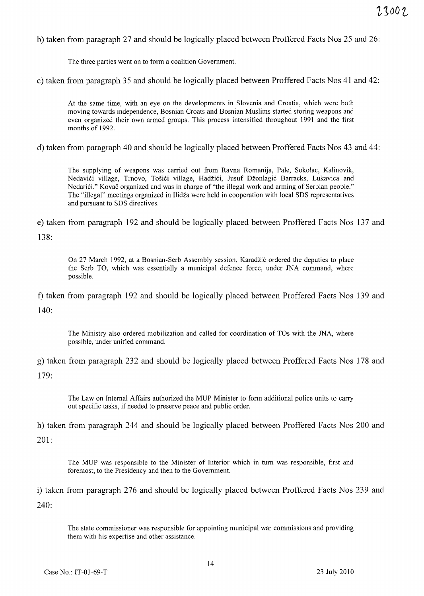b) taken from paragraph 27 and should be logically placed between Proffered Facts Nos 25 and 26:

The three parties went on to form a coalition Government.

c) taken from paragraph 35 and should be logically placed between Proffered Facts Nos 41 and 42:

At the same time, with an eye on the developments in Slovenia and Croatia, which were both moving towards independence, Bosnian Croats and Bosnian Muslims started storing weapons and even organized their own armed groups. This process intensified throughout 1991 and the first months of 1992.

d) taken from paragraph 40 and should be logically placed between Proffered Facts Nos 43 and 44:

The supplying of weapons was carried out from Ravna Romanija, Pale, Sokolac, Kalinovik, Nedavići village, Trnovo, Tošići village, Hadžići, Jusuf Džonlagić Barracks, Lukavica and Neđarići." Kovač organized and was in charge of "the illegal work and arming of Serbian people." The "illegal" meetings organized in Ilidza were held in cooperation with local SDS representatives and pursuant to SDS directives.

e) taken from paragraph 192 and should be logically placed between Proffered Facts Nos 137 and 138:

On 27 March 1992, at a Bosnian-Serb Assembly session, Karadžić ordered the deputies to place the Serb TO, which was essentially a municipal defence force, under JNA command, where possible.

f) taken from paragraph 192 and should be logically placed between Proffered Facts Nos 139 and  $140:$ 

The Ministry also ordered mobilization and called for coordination of TOs with the JNA, where possible, under unified command.

g) taken from paragraph 232 and should be logically placed between Proffered Facts Nos 178 and

179:

The Law on Internal Affairs authorized the MUP Minister to fonn additional police units to carry out specific tasks, if needed to preserve peace and public order.

h) taken from paragraph 244 and should be logically placed between Proffered Facts Nos 200 and 201:

The MUP was responsible to the Minister of Interior which in turn was responsible, first and foremost, to the Presidency and then to the Government.

i) taken from paragraph 276 and should be logically placed between Proffered Facts Nos 239 and 240:

The state commissioner was responsible for appointing municipal war commissions and providing them with his expertise and other assistance.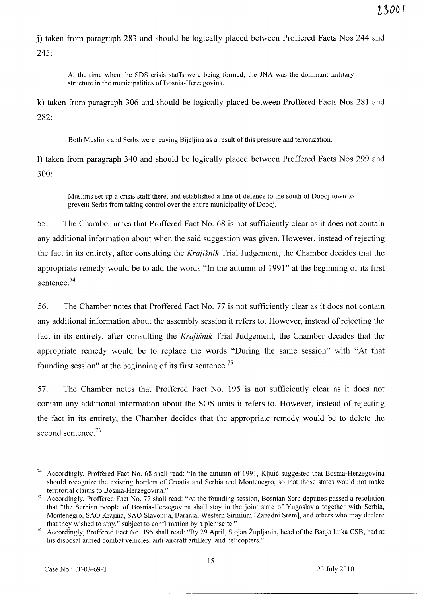j) taken from paragraph 283 and should be logically placed between Proffered Facts Nos 244 and 245:

At the time when the SDS crisis staffs were being formed, the JNA was the dominant military structure in the municipalities of Bosnia-Herzegovina.

k) taken from paragraph 306 and should be logically placed between Proffered Facts Nos 281 and 282:

Both Muslims and Serbs were leaving Bijeljina as a result of this pressure and terrorization.

1) taken from paragraph 340 and should be logically placed between Proffered Facts Nos 299 and 300:

Muslims set up a crisis staff there, and established a line of defence to the south of Doboj town to prevent Serbs from taking control over the entire municipality of Doboj.

55. The Chamber notes that Proffered Fact No. 68 is not sufficiently clear as it does not contain any additional information about when the said suggestion was given. However, instead of rejecting the fact in its entirety, after consulting the *Krajisnik* Trial Judgement, the Chamber decides that the appropriate remedy would be to add the words "In the autumn of 1991" at the beginning of its first sentence. 74

56. The Chamber notes that Proffered Fact No. 77 is not sufficiently clear as it does not contain any additional information about the assembly session it refers to. However, instead of rejecting the fact in its entirety, after consulting the *Krajisnik* Trial Judgement, the Chamber decides that the appropriate remedy would be to replace the words "During the same session" with "At that founding session" at the beginning of its first sentence.<sup>75</sup>

57. The Chamber notes that Proffered Fact No. 195 is not sufficiently clear as it does not contain any additional information about the SOS units it refers to. However, instead of rejecting the fact in its entirety, the Chamber decides that the appropriate remedy would be to delete the second sentence.<sup>76</sup>

<sup>74</sup> Accordingly, Proffered Fact No. 68 shall read: "In the autumn of 1991, Kljuic suggested that Bosnia-Herzegovina should recognize the existing borders of Croatia and Serbia and Montenegro, so that those states would not make territorial claims to Bosnia-Herzegovina."

<sup>&</sup>lt;sup>75</sup> Accordingly, Proffered Fact No. 77 shall read: "At the founding session, Bosnian-Serb deputies passed a resolution that "the Serbian people of Bosnia-Herzegovina shall stay in the joint state of Yugoslavia together with Serbia, Montenegro, SAO Krajina, SAO Slavonija, Baranja, Western Sirmium [Zapadni Srem], and others who may declare that they wished to stay," subject to confirmation by a plebiscite."

<sup>76</sup> Accordingly, Proffered Fact No. 195 shall read: "By 29 April, Stojan Zupljanin, head of the Banja Luka CSB, had at his disposal armed combat vehicles, anti-aircraft artillery, and helicopters."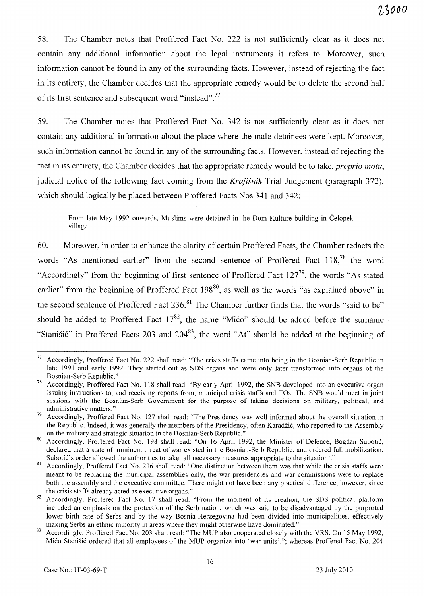58. The Chamber notes that Proffered Fact No. 222 is not sufficiently clear as it does not contain any additional information about the legal instruments it refers to. Moreover, such information cannot be found in any of the surrounding facts. However, instead of rejecting the fact in its entirety, the Chamber decides that the appropriate remedy would be to delete the second half of its first sentence and subsequent word "instead".<sup>77</sup>

59. The Chamber notes that Proffered Fact No. 342 is not sufficiently clear as it does not contain any additional information about the place where the male detainees were kept. Moreover, such information cannot be found in any of the surrounding facts. However, instead of rejecting the fact in its entirety, the Chamber decides that the appropriate remedy would be to take, *proprio motu*, judicial notice of the following fact coming from the *Krajisnik* Trial Judgement (paragraph 372), which should logically be placed between Proffered Facts Nos 341 and 342:

From late May 1992 onwards, Muslims were detained in the Dom Kulture building in Celopek village.

60. Moreover, in order to enhance the clarity of certain Proffered Facts, the Chamber redacts the words "As mentioned earlier" from the second sentence of Proffered Fact 118,<sup>78</sup> the word "Accordingly" from the beginning of first sentence of Proffered Fact  $127^{79}$ , the words "As stated earlier" from the beginning of Proffered Fact  $198^{80}$ , as well as the words "as explained above" in the second sentence of Proffered Fact 236.<sup>81</sup> The Chamber further finds that the words "said to be" should be added to Proffered Fact  $17^{82}$ , the name "Mićo" should be added before the surname "Stanišić" in Proffered Facts 203 and 204<sup>83</sup>, the word "At" should be added at the beginning of

 $77$  Accordingly, Proffered Fact No. 222 shall read: "The crisis staffs came into being in the Bosnian-Serb Republic in late 1991 and early 1992. They started out as SDS organs and were only later transformed into organs of the Bosnian-Serb Republic."

Accordingly, Proffered Fact No. 118 shall read: "By early April 1992, the SNB developed into an executive organ issuing instructions to, and receiving reports from, municipal crisis staffs and TOs. The SNB would meet in joint sessions with the Bosnian-Serb Government for the purpose of taking decisions on military, political, and administrative matters."

<sup>&</sup>lt;sup>79</sup> Accordingly, Proffered Fact No. 127 shall read: "The Presidency was well informed about the overall situation in the Republic. Indeed, it was generally the members of the Presidency, often Karadzic, who reported to the Assembly on the military and strategic situation in the Bosnian-Serb Republic."

<sup>80</sup> Accordingly, Proffered Fact No. 198 shall read: "On 16 April 1992, the Minister of Defence, Bogdan Subotic, declared that a state of imminent threat of war existed in the Bosnian-Serb Republic, and ordered full mobilization. Subotic's order allowed the authorities to take 'all necessary measures appropriate to the situation'."

<sup>&</sup>lt;sup>81</sup> Accordingly, Proffered Fact No. 236 shall read: "One distinction between them was that while the crisis staffs were meant to be replacing the municipal assemblies only, the war presidencies and war commissions were to replace both the assembly and the executive committee. There might not have been any practical difference, however, since the crisis staffs already acted as executive organs."

Accordingly, Proffered Fact No. 17 shall read: "From the moment of its creation, the SDS political platform included an emphasis on the protection of the Serb nation, which was said to be disadvantaged by the purported lower birth rate of Serbs and by the way Bosnia-Herzegovina had been divided into municipalities, effectively making Serbs an ethnic minority in areas where they might otherwise have dominated."

<sup>83</sup> Accordingly, Proffered Fact No. 203 shall read: "The MUP also cooperated closely with the VRS. On 15 May 1992, Mico Stanisic ordered that all employees of the MUP organize into 'war units'."; whereas Proffered Fact No. 204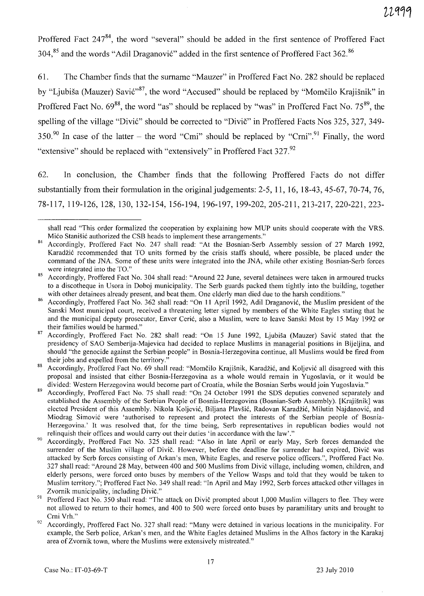Proffered Fact 247<sup>84</sup>, the word "several" should be added in the first sentence of Proffered Fact 304,<sup>85</sup> and the words "Adil Draganović" added in the first sentence of Proffered Fact 362.<sup>86</sup>

61. The Chamber finds that the surname "Mauzer" in Proffered Fact No. 282 should be replaced by "Ljubiša (Mauzer) Savić"<sup>87</sup>, the word "Accused" should be replaced by "Momčilo Krajišnik" in Proffered Fact No.  $69^{88}$ , the word "as" should be replaced by "was" in Proffered Fact No.  $75^{89}$ , the spelling of the village "Divić" should be corrected to "Divič" in Proffered Facts Nos 325, 327, 349-350.90 In case of the latter – the word "Cmi" should be replaced by "Crni".<sup>91</sup> Finally, the word "extensive" should be replaced with "extensively" in Proffered Fact 327.<sup>92</sup>

62. In conclusion, the Chamber finds that the following Proffered Facts do not differ substantially from their formulation in the original judgements: 2-5, 11, 16, 18-43,45-67, 70-74, 76, 78-117, 119-126, 128, 130, 132-154, 156-194, 196-197, 199-202,205-211,213-217,220-221,223-

shall read "This order formalized the cooperation by explaining how MUP units should cooperate with the YRS. Mićo Stanišić authorized the CSB heads to implement these arrangements."

<sup>84</sup> Accordingly, Proffered Fact No. 247 shall read: "At the Bosnian-Serb Assembly session of 27 March 1992, Karadžić recommended that TO units formed by the crisis staffs should, where possible, be placed under the command of the JNA. Some of these units were integrated into the JNA, while other existing Bosnian-Serb forces were integrated into the TO."

<sup>85</sup> Accordingly, Proffered Fact No. 304 shall read: "Around 22 June, several detainees were taken in armoured trucks to a discotheque in Usora in Doboj municipality. The Serb guards packed them tightly into the building, together with other detainees already present, and beat them. One elderly man died due to the harsh conditions."

Accordingly, Proffered Fact No. 362 shall read: "On 11 April 1992, Adil Draganović, the Muslim president of the Sanski Most municipal court, received a threatening letter signed by members of the White Eagles stating that he and the municipal deputy prosecutor, Enver Ceri6, also a Muslim, were to leave Sanski Most by 15 May 1992 or their families would be harmed."

<sup>87</sup> Accordingly, Proffered Fact No. 282 shall read: "On 15 June 1992, Ljubiša (Mauzer) Savić stated that the presidency of SAO Semberija-Majevica had decided to replace Muslims in managerial positions in Bijeljina, and should "the genocide against the Serbian people" in Bosnia-Herzegovina continue, all Muslims would be fired from their jobs and expelled from the territory."

<sup>88</sup> Accordingly, Proffered Fact No. 69 shall read: "Momčilo Krajišnik, Karadžić, and Koljević all disagreed with this proposal and insisted that either Bosnia-Herzegovina as a whole would remain in Yugoslavia, or it would be divided: Western Herzegovina would become part of Croatia, while the Bosnian Serbs would join Yugoslavia."

Accordingly, Proffered Fact No. 75 shall read: "On 24 October 1991 the SDS deputies convened separately and established the Assembly of the Serbian People of Bosnia-Herzegovina (Bosnian-Serb Assembly). [Krajisnik] was elected President of this Assembly. Nikola Koljević, Biljana Plavšić, Radovan Karadžić, Milutin Najdanović, and Miodrag Simovi6 were 'authorised to represent and protect the interests of the Serbian people of Bosnia-Herzegovina.' It was resolved that, for the time being, Serb representatives in republican bodies would not relinquish their offices and would carry out their duties 'in accordance with the law'."

<sup>90</sup> Accordingly, Proffered Fact No. 325 shall read: "Also in late April or early May, Serb forces demanded the surrender of the Muslim village of Divic. However, before the deadline for surrender had expired, Divic was attacked by Serb forces consisting of Arkan's men, White Eagles, and reserve police officers.", Proffered Fact No. 327 shall read: "Around 28 May, between 400 and 500 Muslims from Divic village, including women, children, and elderly persons, were forced onto buses by members of the Yellow Wasps and told that they would be taken to Muslim territory."; Proffered Fact No. 349 shall read: "In April and May 1992, Serb forces attacked other villages in Zvornik municipality, including Divic."

<sup>&</sup>lt;sup>91</sup> Proffered Fact No. 350 shall read: "The attack on Divič prompted about 1,000 Muslim villagers to flee. They were not allowed to return to their homes, and 400 to 500 were forced onto buses by paramilitary units and brought to Crni Vrh."

 $92$  Accordingly, Proffered Fact No. 327 shall read: "Many were detained in various locations in the municipality. For example, the Serb police, Arkan's men, and the White Eagles detained Muslims in the Alhos factory in the Karakaj area of Zvornik town, where the Muslims were extensively mistreated."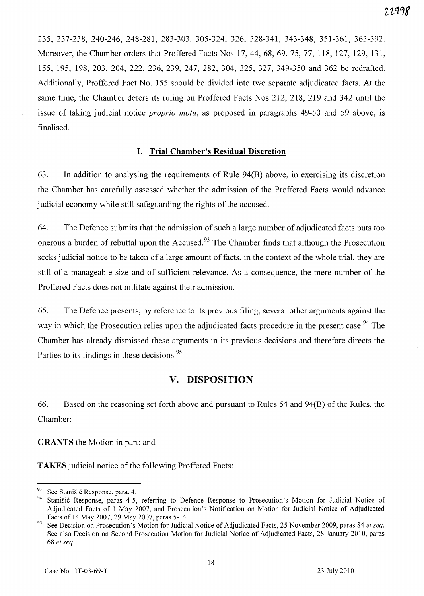235, 237-238, 240-246, 248-281, 283-303, 305-324, 326, 328-341, 343-348, 351-361, 363-392. Moreover, the Chamber orders that Proffered Facts Nos 17,44, 68, 69, 75, 77, 118, 127, 129, 131, 155, 195, 198, 203, 204, 222, 236, 239, 247, 282, 304, 325, 327, 349-350 and 362 be redrafted. Additionally, Proffered Fact No. 155 should be divided into two separate adjudicated facts. At the same time, the Chamber defers its ruling on Proffered Facts Nos 212, 218, 219 and 342 until the issue of taking judicial notice *proprio motu,* as proposed in paragraphs 49-50 and 59 above, is finalised.

## I. Trial Chamber's Residual Discretion

63. In addition to analysing the requirements of Rule 94(B) above, in exercising its discretion the Chamber has carefully assessed whether the admission of the Proffered Facts would advance judicial economy while still safeguarding the rights of the accused.

64. The Defence submits that the admission of such a large number of adjudicated facts puts too onerous a burden of rebuttal upon the Accused.<sup>93</sup> The Chamber finds that although the Prosecution seeks judicial notice to be taken of a large amount of facts, in the context of the whole trial, they are still of a manageable size and of sufficient relevance. As a consequence, the mere number of the Proffered Facts does not militate against their admission.

65. The Defence presents, by reference to its previous filing, several other arguments against the way in which the Prosecution relies upon the adjudicated facts procedure in the present case.<sup>94</sup> The Chamber has already dismissed these arguments in its previous decisions and therefore directs the Parties to its findings in these decisions.<sup>95</sup>

## v. DISPOSITION

66. Based on the reasoning set forth above and pursuant to Rules 54 and 94(B) of the Rules, the Chamber:

GRANTS the Motion in part; and

TAKES judicial notice of the following Proffered Facts:

<sup>&</sup>lt;sup>93</sup> See Stanišić Response, para. 4.

Stanišić Response, paras 4-5, referring to Defence Response to Prosecution's Motion for Judicial Notice of Adjudicated Facts of 1 May 2007, and Prosecution's Notification on Motion for Judicial Notice of Adjudicated Facts of 14 May 2007,29 May 2007, paras 5-14.

<sup>95</sup> See Decision on Prosecution's Motion for Judicial Notice of Adjudicated Facts, 25 November 2009, paras 84 *et seq.*  See also Decision on Second Prosecution Motion for Judicial Notice of Adjudicated Facts, 28 January 2010, paras *68 et seq.*